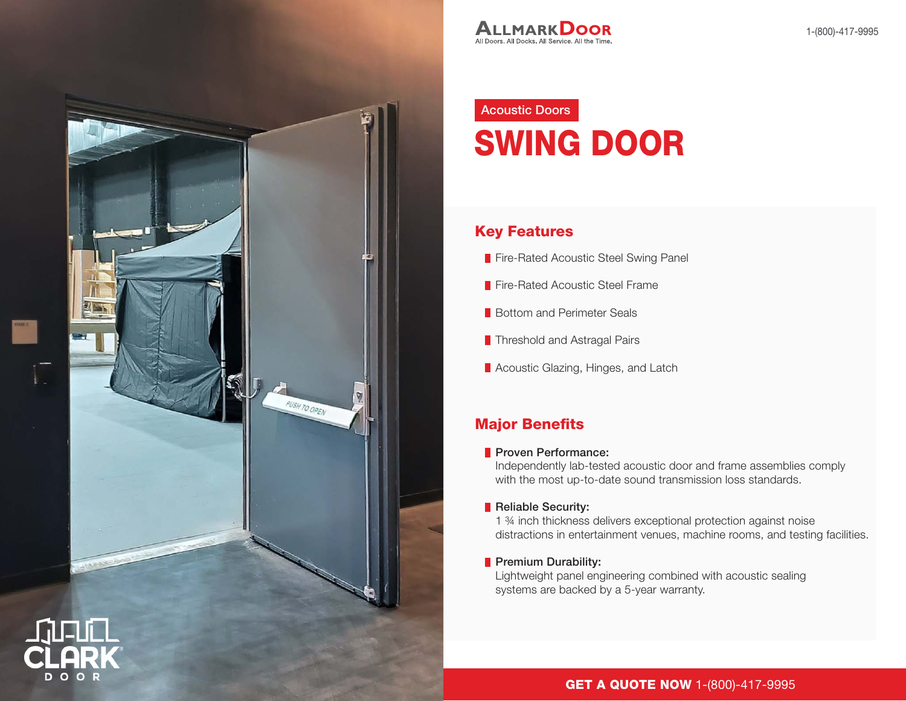

## Acoustic Doors SWING DOOR

#### Key Features

- Fire-Rated Acoustic Steel Swing Panel
- **Fire-Rated Acoustic Steel Frame**
- **Bottom and Perimeter Seals**
- **Threshold and Astragal Pairs**
- Acoustic Glazing, Hinges, and Latch

### Major Benefits

#### **Proven Performance:**

Independently lab-tested acoustic door and frame assemblies comply with the most up-to-date sound transmission loss standards.

#### Reliable Security:

1 ¾ inch thickness delivers exceptional protection against noise distractions in entertainment venues, machine rooms, and testing facilities.

#### Premium Durability:

Lightweight panel engineering combined with acoustic sealing systems are backed by a 5-year warranty.

#### GET A QUOTE NOW 1-(800)-417-9995